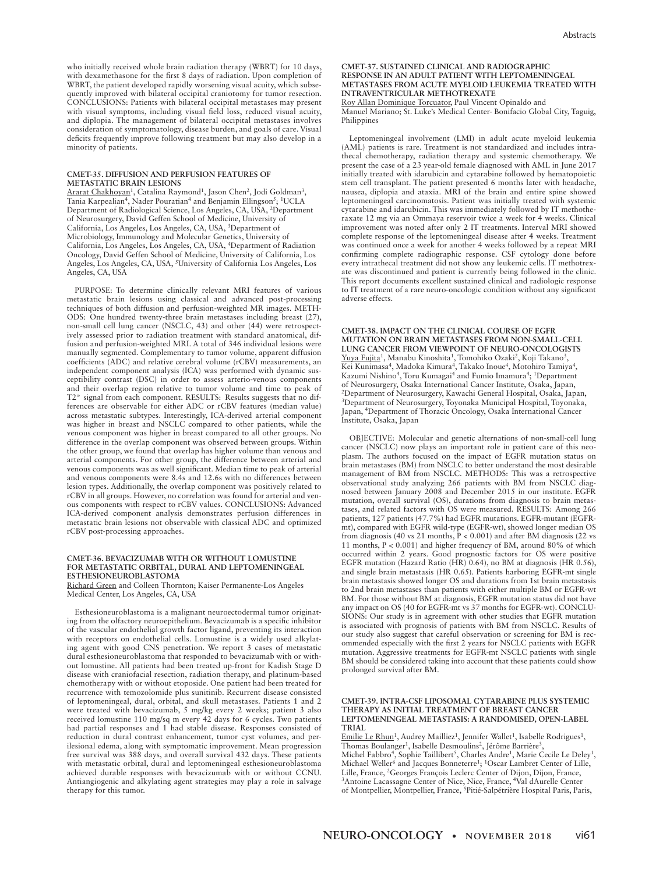who initially received whole brain radiation therapy (WBRT) for 10 days, with dexamethasone for the first 8 days of radiation. Upon completion of WBRT, the patient developed rapidly worsening visual acuity, which subsequently improved with bilateral occipital craniotomy for tumor resection. CONCLUSIONS: Patients with bilateral occipital metastases may present with visual symptoms, including visual field loss, reduced visual acuity, and diplopia. The management of bilateral occipital metastases involves consideration of symptomatology, disease burden, and goals of care. Visual deficits frequently improve following treatment but may also develop in a minority of patients.

### **CMET-35. DIFFUSION AND PERFUSION FEATURES OF METASTATIC BRAIN LESIONS**

Ararat Chakhoyan<sup>1</sup>, Catalina Raymond<sup>1</sup>, Jason Chen<sup>2</sup>, Jodi Goldman<sup>3</sup>, Tania Karpealian<sup>4</sup>, Nader Pouratian<sup>4</sup> and Benjamin Ellingson<sup>5</sup>; <sup>1</sup>UCLA Department of Radiological Science, Los Angeles, CA, USA, 2Department of Neurosurgery, David Geffen School of Medicine, University of California, Los Angeles, Los Angeles, CA, USA, 3Department of Microbiology, Immunology and Molecular Genetics, University of California, Los Angeles, Los Angeles, CA, USA, 4Department of Radiation Oncology, David Geffen School of Medicine, University of California, Los Angeles, Los Angeles, CA, USA, 5University of California Los Angeles, Los Angeles, CA, USA

PURPOSE: To determine clinically relevant MRI features of various metastatic brain lesions using classical and advanced post-processing techniques of both diffusion and perfusion-weighted MR images. METH-ODS: One hundred twenty-three brain metastases including breast (27), non-small cell lung cancer (NSCLC, 43) and other (44) were retrospectively assessed prior to radiation treatment with standard anatomical, diffusion and perfusion-weighted MRI. A total of 346 individual lesions were manually segmented. Complementary to tumor volume, apparent diffusion coefficients (ADC) and relative cerebral volume (rCBV) measurements, an independent component analysis (ICA) was performed with dynamic susceptibility contrast (DSC) in order to assess arterio-venous components and their overlap region relative to tumor volume and time to peak of T2\* signal from each component. RESULTS: Results suggests that no differences are observable for either ADC or rCBV features (median value) across metastatic subtypes. Interestingly, ICA-derived arterial component was higher in breast and NSCLC compared to other patients, while the venous component was higher in breast compared to all other groups. No difference in the overlap component was observed between groups. Within the other group, we found that overlap has higher volume than venous and arterial components. For other group, the difference between arterial and venous components was as well significant. Median time to peak of arterial and venous components were 8.4s and 12.6s with no differences between lesion types. Additionally, the overlap component was positively related to rCBV in all groups. However, no correlation was found for arterial and venous components with respect to rCBV values. CONCLUSIONS: Advanced ICA-derived component analysis demonstrates perfusion differences in metastatic brain lesions not observable with classical ADC and optimized rCBV post-processing approaches.

### **CMET-36. BEVACIZUMAB WITH OR WITHOUT LOMUSTINE FOR METASTATIC ORBITAL, DURAL AND LEPTOMENINGEAL ESTHESIONEUROBLASTOMA** Richard Green and Colleen Thornton; Kaiser Permanente-Los Angeles

Medical Center, Los Angeles, CA, USA

Esthesioneuroblastoma is a malignant neuroectodermal tumor originating from the olfactory neuroepithelium. Bevacizumab is a specific inhibitor of the vascular endothelial growth factor ligand, preventing its interaction with receptors on endothelial cells. Lomustine is a widely used alkylating agent with good CNS penetration. We report 3 cases of metastatic dural esthesioneuroblastoma that responded to bevacizumab with or without lomustine. All patients had been treated up-front for Kadish Stage D disease with craniofacial resection, radiation therapy, and platinum-based chemotherapy with or without etoposide. One patient had been treated for recurrence with temozolomide plus sunitinib. Recurrent disease consisted of leptomeningeal, dural, orbital, and skull metastases. Patients 1 and 2 were treated with bevacizumab, 5 mg/kg every 2 weeks; patient 3 also received lomustine 110 mg/sq m every 42 days for 6 cycles. Two patients had partial responses and 1 had stable disease. Responses consisted of reduction in dural contrast enhancement, tumor cyst volumes, and perilesional edema, along with symptomatic improvement. Mean progression free survival was 388 days, and overall survival 432 days. These patients with metastatic orbital, dural and leptomeningeal esthesioneuroblastoma achieved durable responses with bevacizumab with or without CCNU. Antiangiogenic and alkylating agent strategies may play a role in salvage therapy for this tumor.

## **CMET-37. SUSTAINED CLINICAL AND RADIOGRAPHIC RESPONSE IN AN ADULT PATIENT WITH LEPTOMENINGEAL METASTASES FROM ACUTE MYELOID LEUKEMIA TREATED WITH INTRAVENTRICULAR METHOTREXATE**

Roy Allan Dominique Torcuator, Paul Vincent Opinaldo and

Manuel Mariano; St. Luke's Medical Center- Bonifacio Global City, Taguig, Philippines

Leptomeningeal involvement (LMI) in adult acute myeloid leukemia (AML) patients is rare. Treatment is not standardized and includes intrathecal chemotherapy, radiation therapy and systemic chemotherapy. We present the case of a 23 year-old female diagnosed with AML in June 2017 initially treated with idarubicin and cytarabine followed by hematopoietic stem cell transplant. The patient presented 6 months later with headache, nausea, diplopia and ataxia. MRI of the brain and entire spine showed leptomeningeal carcinomatosis. Patient was initially treated with systemic cytarabine and idarubicin. This was immediately followed by IT methotheraxate 12 mg via an Ommaya reservoir twice a week for 4 weeks. Clinical improvement was noted after only 2 IT treatments. Interval MRI showed complete response of the leptomeningeal disease after 4 weeks. Treatment was continued once a week for another 4 weeks followed by a repeat MRI confirming complete radiographic response. CSF cytology done before every intrathecal treatment did not show any leukemic cells. IT methotrexate was discontinued and patient is currently being followed in the clinic. This report documents excellent sustained clinical and radiologic response to IT treatment of a rare neuro-oncologic condition without any significant adverse effects.

**CMET-38. IMPACT ON THE CLINICAL COURSE OF EGFR MUTATION ON BRAIN METASTASES FROM NON-SMALL-CELL LUNG CANCER FROM VIEWPOINT OF NEURO-ONCOLOGISTS** Yuya Fujita<sup>1</sup>, Manabu Kinoshita<sup>1</sup>, Tomohiko Ozaki<sup>2</sup>, Koji Takano<sup>3</sup>, Kei Kunimasa<sup>4</sup>, Madoka Kimura<sup>4</sup>, Takako Inoue<sup>4</sup>, Motohiro Tamiya<sup>4</sup>, Kazumi Nishino<sup>4</sup>, Toru Kumagai<sup>4</sup> and Fumio Imamura<sup>4</sup>; <sup>1</sup>Department of Neurosurgery, Osaka International Cancer Institute, Osaka, Japan, 2Department of Neurosurgery, Kawachi General Hospital, Osaka, Japan, 3Department of Neurosurgery, Toyonaka Municipal Hospital, Toyonaka, Japan, 4Department of Thoracic Oncology, Osaka International Cancer Institute, Osaka, Japan

OBJECTIVE: Molecular and genetic alternations of non-small-cell lung cancer (NSCLC) now plays an important role in patient care of this neoplasm. The authors focused on the impact of EGFR mutation status on brain metastases (BM) from NSCLC to better understand the most desirable management of BM from NSCLC. METHODS: This was a retrospective observational study analyzing 266 patients with BM from NSCLC diagnosed between January 2008 and December 2015 in our institute. EGFR mutation, overall survival (OS), durations from diagnosis to brain metastases, and related factors with OS were measured. RESULTS: Among 266 patients, 127 patients (47.7%) had EGFR mutations. EGFR-mutant (EGFRmt), compared with EGFR wild-type (EGFR-wt), showed longer median OS from diagnosis (40 vs 21 months,  $\overline{P}$  < 0.001) and after BM diagnosis (22 vs 11 months, P < 0.001) and higher frequency of BM, around 80% of which occurred within 2 years. Good prognostic factors for OS were positive EGFR mutation (Hazard Ratio (HR) 0.64), no BM at diagnosis (HR 0.56), and single brain metastasis (HR 0.65). Patients harboring EGFR-mt single brain metastasis showed longer OS and durations from 1st brain metastasis to 2nd brain metastases than patients with either multiple BM or EGFR-wt BM. For those without BM at diagnosis, EGFR mutation status did not have any impact on OS (40 for EGFR-mt vs 37 months for EGFR-wt). CONCLU-SIONS: Our study is in agreement with other studies that EGFR mutation is associated with prognosis of patients with BM from NSCLC. Results of our study also suggest that careful observation or screening for BM is recommended especially with the first 2 years for NSCLC patients with EGFR mutation. Aggressive treatments for EGFR-mt NSCLC patients with single BM should be considered taking into account that these patients could show prolonged survival after BM.

## **CMET-39. INTRA-CSF LIPOSOMAL CYTARABINE PLUS SYSTEMIC THERAPY AS INITIAL TREATMENT OF BREAST CANCER LEPTOMENINGEAL METASTASIS: A RANDOMISED, OPEN-LABEL TRIAL**

Emilie Le Rhun<sup>1</sup>, Audrey Mailliez<sup>1</sup>, Jennifer Wallet<sup>1</sup>, Isabelle Rodrigues<sup>1</sup>, Thomas Boulanger<sup>1</sup>, Isabelle Desmoulins<sup>2</sup>, Jérôme Barrière<sup>3</sup>, Michel Fabbro<sup>4</sup>, Sophie Taillibert<sup>5</sup>, Charles Andre<sup>1</sup>, Marie Cecile Le Deley<sup>1</sup>, Michael Weller<sup>6</sup> and Jacques Bonneterre<sup>1</sup>; <sup>1</sup>Oscar Lambret Center of Lille, Lille, France, <sup>2</sup>Georges François Leclerc Center of Dijon, Dijon, France, <sup>3</sup> Antoine Lacassagne Center of Nice, Nice, France, <sup>4</sup>Val dAurelle Center of Montpellier, Montpellier, France, <sup>5</sup>Pitié-Salpétrière Hospital Paris, Paris,